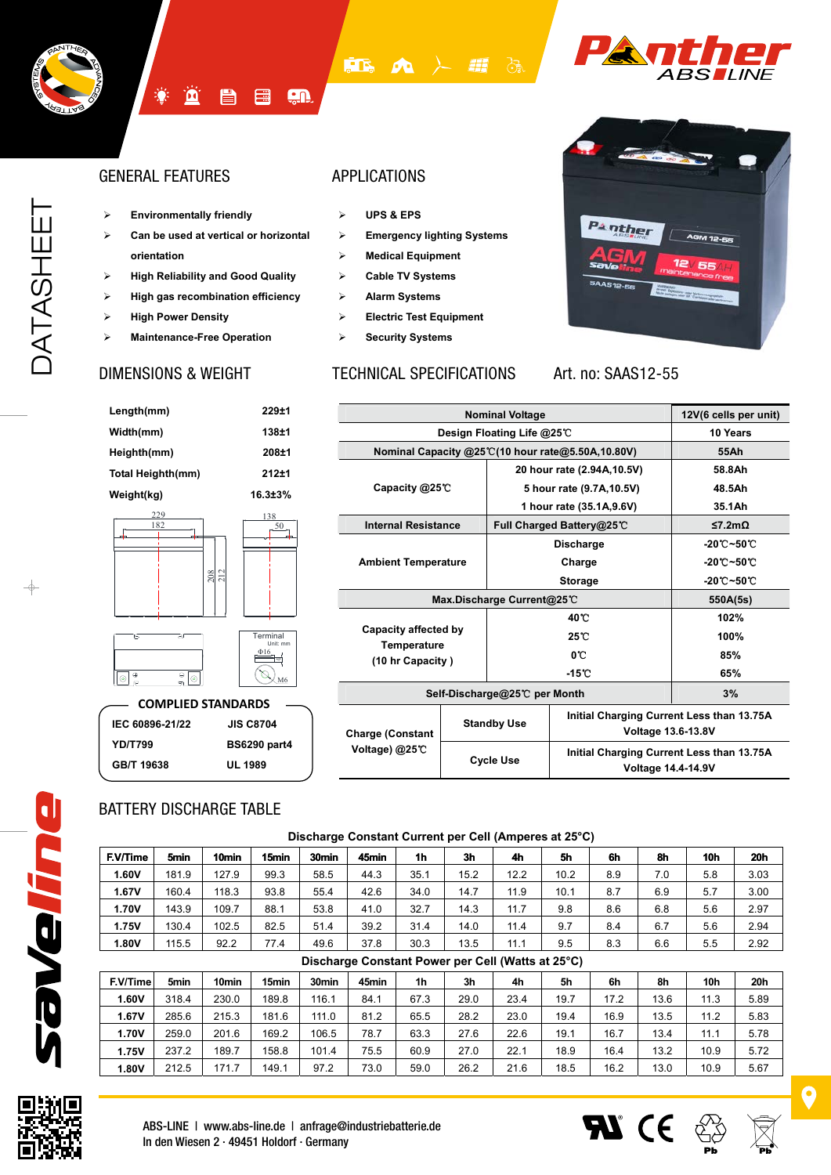



## GENERAL FEATURES APPLICATIONS

¾ **Environmentally friendly**

**[鱼** 

¾ **Can be used at vertical or horizontal orientation**

骨

僵

- ¾ **High Reliability and Good Quality**
- ¾ **High gas recombination efficiency**
- ¾ **High Power Density**
- ¾ **Maintenance-Free Operation**

**ED** A

En

- ¾ **UPS & EPS**
- ¾ **Emergency lighting Systems**
- ¾ **Medical Equipment**
- ¾ **Cable TV Systems**
- ¾ **Alarm Systems**
- ¾ **Electric Test Equipment**
- ¾ **Security Systems**

### DIMENSIONS & WEIGHT TECHNICAL SPECIFICATIONS



### Art. no: SAAS12-55

 $\boldsymbol{\mathcal{H}}$  (E)

| Length(mm)                                            | 229±1                             |
|-------------------------------------------------------|-----------------------------------|
| Width(mm)                                             | 138±1                             |
| Heighth(mm)                                           | 208±1                             |
| <b>Total Heighth(mm)</b>                              | $212 + 1$                         |
| Weight(kg)                                            | $16.3 \pm 3\%$                    |
| 229<br>182                                            | 138<br>50<br>208<br>212           |
| 6<br>⊇ſ<br>$\oplus$<br>⊖<br>$\circledcirc$<br>$\odot$ | Terminal<br>Unit: mm<br>Ф16<br>M6 |
|                                                       | <b>COMPLIED STANDARDS</b>         |
| IEC 60896-21/22                                       | <b>JIS C8704</b>                  |
| <b>YD/T799</b>                                        | <b>BS6290 part4</b>               |
| GB/T 19638                                            | UL 1989                           |

|                                           | 12V(6 cells per unit) |                    |                                                                        |                                          |  |
|-------------------------------------------|-----------------------|--------------------|------------------------------------------------------------------------|------------------------------------------|--|
| Design Floating Life @25℃                 | 10 Years              |                    |                                                                        |                                          |  |
|                                           |                       |                    | Nominal Capacity @25°C(10 hour rate@5.50A,10.80V)                      | 55Ah                                     |  |
|                                           |                       |                    | 20 hour rate (2.94A, 10.5V)                                            | 58.8Ah                                   |  |
| Capacity @25℃                             |                       |                    | 5 hour rate (9.7A, 10.5V)                                              | 48.5Ah                                   |  |
|                                           |                       |                    | 1 hour rate (35.1A,9.6V)                                               | 35.1Ah                                   |  |
| <b>Internal Resistance</b>                |                       |                    | Full Charged Battery@25℃                                               | ≤7.2mΩ                                   |  |
| <b>Ambient Temperature</b>                |                       |                    | <b>Discharge</b>                                                       | $-20^{\circ}\text{C}-50^{\circ}\text{C}$ |  |
|                                           |                       |                    | Charge                                                                 | $-20^{\circ}$ C $-50^{\circ}$ C          |  |
|                                           |                       |                    | <b>Storage</b>                                                         | $-20^{\circ}$ C~50 $^{\circ}$ C          |  |
| Max.Discharge Current@25°C                | 550A(5s)              |                    |                                                                        |                                          |  |
|                                           |                       |                    | 40°C                                                                   | 102%                                     |  |
| Capacity affected by                      |                       |                    | $25^{\circ}$                                                           | 100%                                     |  |
| <b>Temperature</b><br>(10 hr Capacity)    |                       |                    | $0^{\circ}$                                                            | 85%                                      |  |
|                                           |                       |                    | $-15^{\circ}$ C                                                        | 65%                                      |  |
| Self-Discharge@25℃ per Month              | 3%                    |                    |                                                                        |                                          |  |
| <b>Charge (Constant</b><br>Voltage) @25°C |                       | <b>Standby Use</b> | Initial Charging Current Less than 13.75A<br><b>Voltage 13.6-13.8V</b> |                                          |  |
|                                           |                       | <b>Cycle Use</b>   | Initial Charging Current Less than 13.75A<br><b>Voltage 14.4-14.9V</b> |                                          |  |

## BATTERY DISCHARGE TABLE

|              | Discharge Constant Current per Cell (Amperes at 25°C) |                   |       |       |       |      |      |            |      |     |     |            |      |
|--------------|-------------------------------------------------------|-------------------|-------|-------|-------|------|------|------------|------|-----|-----|------------|------|
| F.V/Time     | 5min                                                  | 10 <sub>min</sub> | 15min | 30min | 45min | 1h   | 3h   | 4h         | 5h   | 6h  | 8h  | <b>10h</b> | 20h  |
| 1.60V        | 181.9                                                 | 127.9             | 99.3  | 58.5  | 44.3  | 35.1 | 15.2 | 12.2       | 10.2 | 8.9 | 7.0 | 5.8        | 3.03 |
| 1.67V        | 160.4                                                 | 118.3             | 93.8  | 55.4  | 42.6  | 34.0 | 14.7 | 11.9       | 10.1 | 8.7 | 6.9 | 5.7        | 3.00 |
| 1.70V        | 143.9                                                 | 109.7             | 88.1  | 53.8  | 41.0  | 32.7 | 14.3 | 11.7       | 9.8  | 8.6 | 6.8 | 5.6        | 2.97 |
| <b>1.75V</b> | 130.4                                                 | 102.5             | 82.5  | 51.4  | 39.2  | 31.4 | 14.0 | 11.4       | 9.7  | 8.4 | 6.7 | 5.6        | 2.94 |
| 1.80V        | 115.5                                                 | 92.2              | 77.4  | 49.6  | 37.8  | 30.3 | 13.5 | 11.1       | 9.5  | 8.3 | 6.6 | 5.5        | 2.92 |
|              |                                                       |                   |       |       |       |      |      | __________ |      |     |     |            |      |

#### **Discharge Constant Power per Cell (Watts at 25°C) F.V/Time 5min 10min 15min 30min 45min 1h 3h 4h 5h 6h 8h 10h 20h 1.60V** | 318.4 | 230.0 | 189.8 | 116.1 | 84.1 | 67.3 | 29.0 | 23.4 | 19.7 | 17.2 | 13.6 | 11.3 | 5.89 **1.67V** | 285.6 | 215.3 | 181.6 | 111.0 | 81.2 | 65.5 | 28.2 | 23.0 | 19.4 | 16.9 | 13.5 | 11.2 | 5.83 **1.70V** | 259.0 | 201.6 | 169.2 | 106.5 | 78.7 | 63.3 | 27.6 | 22.6 | 19.1 | 16.7 | 13.4 | 11.1 | 5.78 **1.75V** | 237.2 | 189.7 | 158.8 | 101.4 | 75.5 | 60.9 | 27.0 | 22.1 | 18.9 | 16.4 | 13.2 | 10.9 | 5.72 **1.80V** | 212.5 | 171.7 | 149.1 | 97.2 | 73.0 | 59.0 | 26.2 | 21.6 | 18.5 | 16.2 | 13.0 | 10.9 | 5.67



saveline